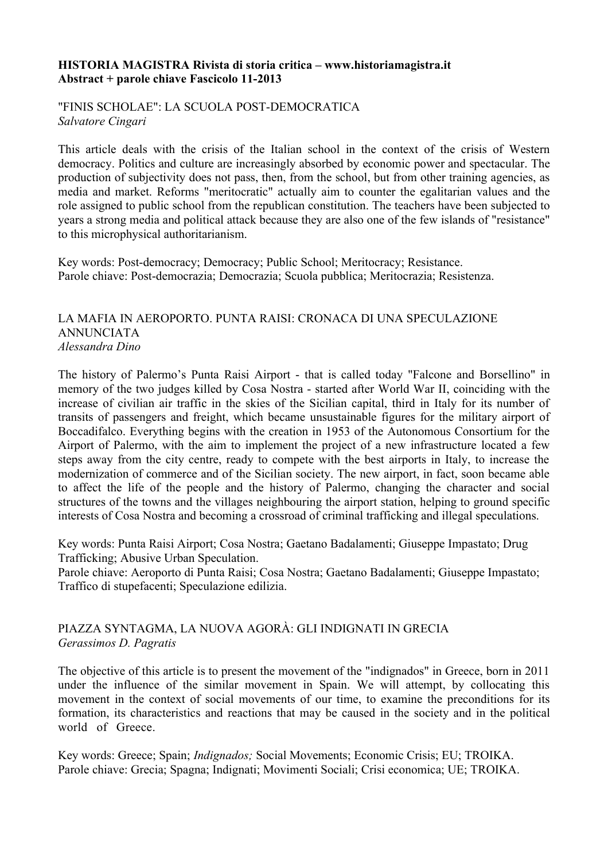#### **HISTORIA MAGISTRA Rivista di storia critica – www.historiamagistra.it Abstract + parole chiave Fascicolo 11-2013**

"FINIS SCHOLAE": LA SCUOLA POST-DEMOCRATICA *Salvatore Cingari*

This article deals with the crisis of the Italian school in the context of the crisis of Western democracy. Politics and culture are increasingly absorbed by economic power and spectacular. The production of subjectivity does not pass, then, from the school, but from other training agencies, as media and market. Reforms "meritocratic" actually aim to counter the egalitarian values and the role assigned to public school from the republican constitution. The teachers have been subjected to years a strong media and political attack because they are also one of the few islands of "resistance" to this microphysical authoritarianism.

Key words: Post-democracy; Democracy; Public School; Meritocracy; Resistance. Parole chiave: Post-democrazia; Democrazia; Scuola pubblica; Meritocrazia; Resistenza.

#### LA MAFIA IN AEROPORTO. PUNTA RAISI: CRONACA DI UNA SPECULAZIONE ANNUNCIATA *Alessandra Dino*

The history of Palermo's Punta Raisi Airport - that is called today "Falcone and Borsellino" in memory of the two judges killed by Cosa Nostra - started after World War II, coinciding with the increase of civilian air traffic in the skies of the Sicilian capital, third in Italy for its number of transits of passengers and freight, which became unsustainable figures for the military airport of Boccadifalco. Everything begins with the creation in 1953 of the Autonomous Consortium for the Airport of Palermo, with the aim to implement the project of a new infrastructure located a few steps away from the city centre, ready to compete with the best airports in Italy, to increase the modernization of commerce and of the Sicilian society. The new airport, in fact, soon became able to affect the life of the people and the history of Palermo, changing the character and social structures of the towns and the villages neighbouring the airport station, helping to ground specific interests of Cosa Nostra and becoming a crossroad of criminal trafficking and illegal speculations.

Key words: Punta Raisi Airport; Cosa Nostra; Gaetano Badalamenti; Giuseppe Impastato; Drug Trafficking; Abusive Urban Speculation.

Parole chiave: Aeroporto di Punta Raisi; Cosa Nostra; Gaetano Badalamenti; Giuseppe Impastato; Traffico di stupefacenti; Speculazione edilizia.

## PIAZZA SYNTAGMA, LA NUOVA AGORÀ: GLI INDIGNATI IN GRECIA *Gerassimos D. Pagratis*

The objective of this article is to present the movement of the "indignados" in Greece, born in 2011 under the influence of the similar movement in Spain. We will attempt, by collocating this movement in the context of social movements of our time, to examine the preconditions for its formation, its characteristics and reactions that may be caused in the society and in the political world of Greece.

Key words: Greece; Spain; *Indignados;* Social Movements; Economic Crisis; EU; TROIKA. Parole chiave: Grecia; Spagna; Indignati; Movimenti Sociali; Crisi economica; UE; TROIKA.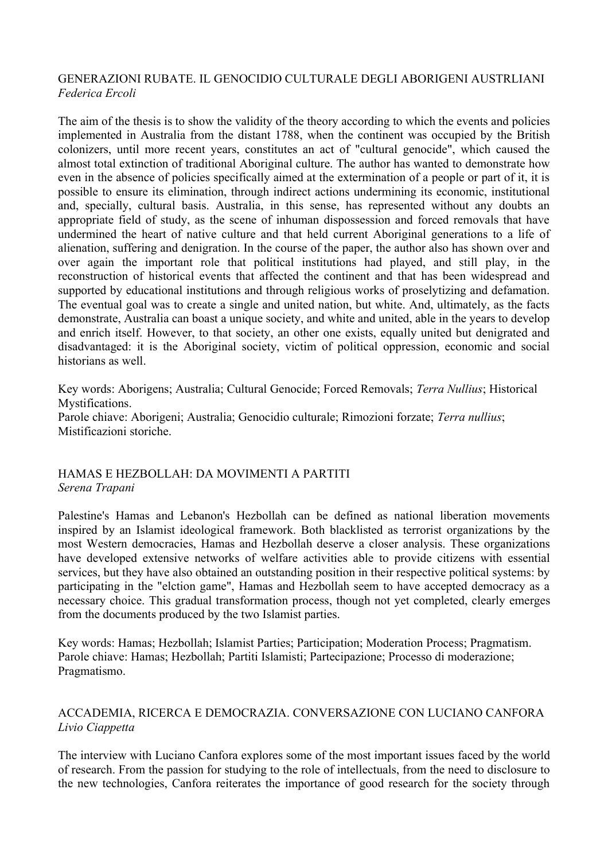#### GENERAZIONI RUBATE. IL GENOCIDIO CULTURALE DEGLI ABORIGENI AUSTRLIANI *Federica Ercoli*

The aim of the thesis is to show the validity of the theory according to which the events and policies implemented in Australia from the distant 1788, when the continent was occupied by the British colonizers, until more recent years, constitutes an act of "cultural genocide", which caused the almost total extinction of traditional Aboriginal culture. The author has wanted to demonstrate how even in the absence of policies specifically aimed at the extermination of a people or part of it, it is possible to ensure its elimination, through indirect actions undermining its economic, institutional and, specially, cultural basis. Australia, in this sense, has represented without any doubts an appropriate field of study, as the scene of inhuman dispossession and forced removals that have undermined the heart of native culture and that held current Aboriginal generations to a life of alienation, suffering and denigration. In the course of the paper, the author also has shown over and over again the important role that political institutions had played, and still play, in the reconstruction of historical events that affected the continent and that has been widespread and supported by educational institutions and through religious works of proselytizing and defamation. The eventual goal was to create a single and united nation, but white. And, ultimately, as the facts demonstrate, Australia can boast a unique society, and white and united, able in the years to develop and enrich itself. However, to that society, an other one exists, equally united but denigrated and disadvantaged: it is the Aboriginal society, victim of political oppression, economic and social historians as well.

Key words: Aborigens; Australia; Cultural Genocide; Forced Removals; *Terra Nullius*; Historical Mystifications. Parole chiave: Aborigeni; Australia; Genocidio culturale; Rimozioni forzate; *Terra nullius*; Mistificazioni storiche.

## HAMAS E HEZBOLLAH: DA MOVIMENTI A PARTITI *Serena Trapani*

Palestine's Hamas and Lebanon's Hezbollah can be defined as national liberation movements inspired by an Islamist ideological framework. Both blacklisted as terrorist organizations by the most Western democracies, Hamas and Hezbollah deserve a closer analysis. These organizations have developed extensive networks of welfare activities able to provide citizens with essential services, but they have also obtained an outstanding position in their respective political systems: by participating in the "elction game", Hamas and Hezbollah seem to have accepted democracy as a necessary choice. This gradual transformation process, though not yet completed, clearly emerges from the documents produced by the two Islamist parties.

Key words: Hamas; Hezbollah; Islamist Parties; Participation; Moderation Process; Pragmatism. Parole chiave: Hamas; Hezbollah; Partiti Islamisti; Partecipazione; Processo di moderazione; Pragmatismo.

## ACCADEMIA, RICERCA E DEMOCRAZIA. CONVERSAZIONE CON LUCIANO CANFORA *Livio Ciappetta*

The interview with Luciano Canfora explores some of the most important issues faced by the world of research. From the passion for studying to the role of intellectuals, from the need to disclosure to the new technologies, Canfora reiterates the importance of good research for the society through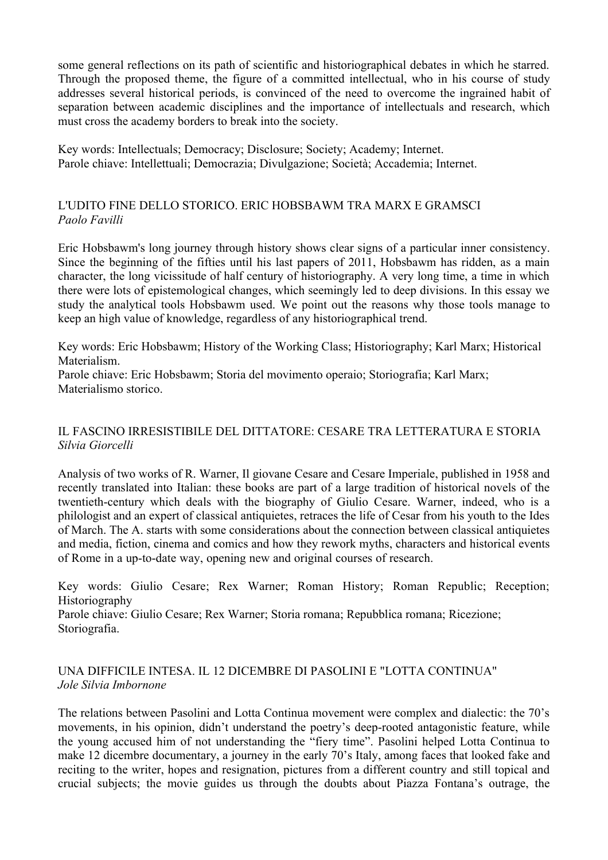some general reflections on its path of scientific and historiographical debates in which he starred. Through the proposed theme, the figure of a committed intellectual, who in his course of study addresses several historical periods, is convinced of the need to overcome the ingrained habit of separation between academic disciplines and the importance of intellectuals and research, which must cross the academy borders to break into the society.

Key words: Intellectuals; Democracy; Disclosure; Society; Academy; Internet. Parole chiave: Intellettuali; Democrazia; Divulgazione; Società; Accademia; Internet.

## L'UDITO FINE DELLO STORICO. ERIC HOBSBAWM TRA MARX E GRAMSCI *Paolo Favilli*

Eric Hobsbawm's long journey through history shows clear signs of a particular inner consistency. Since the beginning of the fifties until his last papers of 2011, Hobsbawm has ridden, as a main character, the long vicissitude of half century of historiography. A very long time, a time in which there were lots of epistemological changes, which seemingly led to deep divisions. In this essay we study the analytical tools Hobsbawm used. We point out the reasons why those tools manage to keep an high value of knowledge, regardless of any historiographical trend.

Key words: Eric Hobsbawm; History of the Working Class; Historiography; Karl Marx; Historical Materialism.

Parole chiave: Eric Hobsbawm; Storia del movimento operaio; Storiografia; Karl Marx; Materialismo storico.

# IL FASCINO IRRESISTIBILE DEL DITTATORE: CESARE TRA LETTERATURA E STORIA *Silvia Giorcelli*

Analysis of two works of R. Warner, Il giovane Cesare and Cesare Imperiale, published in 1958 and recently translated into Italian: these books are part of a large tradition of historical novels of the twentieth-century which deals with the biography of Giulio Cesare. Warner, indeed, who is a philologist and an expert of classical antiquietes, retraces the life of Cesar from his youth to the Ides of March. The A. starts with some considerations about the connection between classical antiquietes and media, fiction, cinema and comics and how they rework myths, characters and historical events of Rome in a up-to-date way, opening new and original courses of research.

Key words: Giulio Cesare; Rex Warner; Roman History; Roman Republic; Reception; Historiography Parole chiave: Giulio Cesare; Rex Warner; Storia romana; Repubblica romana; Ricezione; Storiografia.

# UNA DIFFICILE INTESA. IL 12 DICEMBRE DI PASOLINI E "LOTTA CONTINUA" *Jole Silvia Imbornone*

The relations between Pasolini and Lotta Continua movement were complex and dialectic: the 70's movements, in his opinion, didn't understand the poetry's deep-rooted antagonistic feature, while the young accused him of not understanding the "fiery time". Pasolini helped Lotta Continua to make 12 dicembre documentary, a journey in the early 70's Italy, among faces that looked fake and reciting to the writer, hopes and resignation, pictures from a different country and still topical and crucial subjects; the movie guides us through the doubts about Piazza Fontana's outrage, the